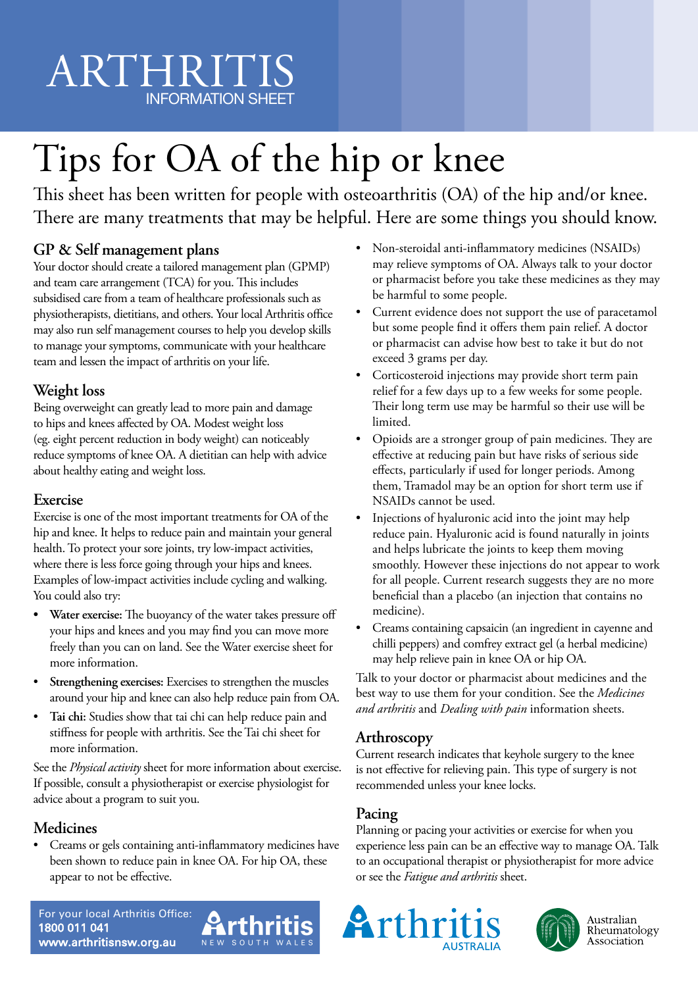# ARTHRITIS INFORMATION SHEET

# Tips for OA of the hip or knee

This sheet has been written for people with osteoarthritis (OA) of the hip and/or knee. There are many treatments that may be helpful. Here are some things you should know.

# **GP & Self management plans**

Your doctor should create a tailored management plan (GPMP) and team care arrangement (TCA) for you. This includes subsidised care from a team of healthcare professionals such as physiotherapists, dietitians, and others. Your local Arthritis office may also run self management courses to help you develop skills to manage your symptoms, communicate with your healthcare team and lessen the impact of arthritis on your life.

# **Weight loss**

Being overweight can greatly lead to more pain and damage to hips and knees affected by OA. Modest weight loss (eg. eight percent reduction in body weight) can noticeably reduce symptoms of knee OA. A dietitian can help with advice about healthy eating and weight loss.

# **Exercise**

Exercise is one of the most important treatments for OA of the hip and knee. It helps to reduce pain and maintain your general health. To protect your sore joints, try low-impact activities, where there is less force going through your hips and knees. Examples of low-impact activities include cycling and walking. You could also try:

- **• Water exercise:** The buoyancy of the water takes pressure off your hips and knees and you may find you can move more freely than you can on land. See the Water exercise sheet for more information.
- Strengthening exercises: Exercises to strengthen the muscles around your hip and knee can also help reduce pain from OA.
- **Tai chi:** Studies show that tai chi can help reduce pain and stiffness for people with arthritis. See the Tai chi sheet for more information.

See the *Physical activity* sheet for more information about exercise. If possible, consult a physiotherapist or exercise physiologist for advice about a program to suit you.

# **Medicines**

• Creams or gels containing anti-inflammatory medicines have been shown to reduce pain in knee OA. For hip OA, these appear to not be effective.

- Non-steroidal anti-inflammatory medicines (NSAIDs) may relieve symptoms of OA. Always talk to your doctor or pharmacist before you take these medicines as they may be harmful to some people.
- Current evidence does not support the use of paracetamol but some people find it offers them pain relief. A doctor or pharmacist can advise how best to take it but do not exceed 3 grams per day.
- Corticosteroid injections may provide short term pain relief for a few days up to a few weeks for some people. Their long term use may be harmful so their use will be limited.
- Opioids are a stronger group of pain medicines. They are effective at reducing pain but have risks of serious side effects, particularly if used for longer periods. Among them, Tramadol may be an option for short term use if NSAIDs cannot be used.
- Injections of hyaluronic acid into the joint may help reduce pain. Hyaluronic acid is found naturally in joints and helps lubricate the joints to keep them moving smoothly. However these injections do not appear to work for all people. Current research suggests they are no more beneficial than a placebo (an injection that contains no medicine).
- Creams containing capsaicin (an ingredient in cayenne and chilli peppers) and comfrey extract gel (a herbal medicine) may help relieve pain in knee OA or hip OA.

Talk to your doctor or pharmacist about medicines and the best way to use them for your condition. See the *Medicines and arthritis* and *Dealing with pain* information sheets.

# **Arthroscopy**

Current research indicates that keyhole surgery to the knee is not effective for relieving pain. This type of surgery is not recommended unless your knee locks.

# **Pacing**

Planning or pacing your activities or exercise for when you experience less pain can be an effective way to manage OA. Talk to an occupational therapist or physiotherapist for more advice or see the *Fatigue and arthritis* sheet.







Australian Rheumatology Association